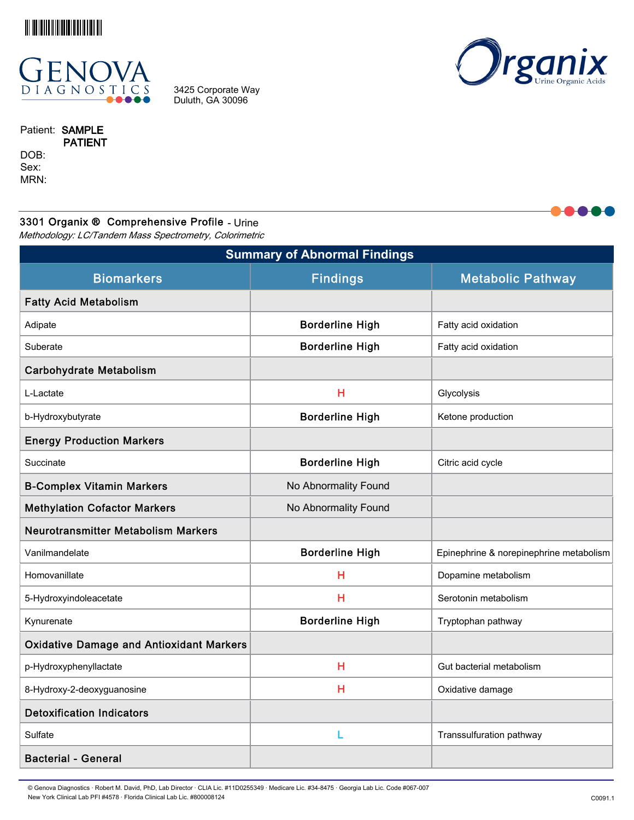



3425 Corporate Way Duluth, GA 30096



Patient: SAMPLE PATIENT DOB:

Sex: MRN:

# 3301 Organix ® Comprehensive Profile - Urine

Methodology: LC/Tandem Mass Spectrometry, Colorimetric

| <b>Summary of Abnormal Findings</b>             |                        |                                         |  |  |  |  |
|-------------------------------------------------|------------------------|-----------------------------------------|--|--|--|--|
| <b>Biomarkers</b>                               | <b>Findings</b>        | <b>Metabolic Pathway</b>                |  |  |  |  |
| <b>Fatty Acid Metabolism</b>                    |                        |                                         |  |  |  |  |
| Adipate                                         | <b>Borderline High</b> | Fatty acid oxidation                    |  |  |  |  |
| Suberate                                        | <b>Borderline High</b> | Fatty acid oxidation                    |  |  |  |  |
| <b>Carbohydrate Metabolism</b>                  |                        |                                         |  |  |  |  |
| L-Lactate                                       | н                      | Glycolysis                              |  |  |  |  |
| b-Hydroxybutyrate                               | <b>Borderline High</b> | Ketone production                       |  |  |  |  |
| <b>Energy Production Markers</b>                |                        |                                         |  |  |  |  |
| Succinate                                       | <b>Borderline High</b> | Citric acid cycle                       |  |  |  |  |
| <b>B-Complex Vitamin Markers</b>                | No Abnormality Found   |                                         |  |  |  |  |
| <b>Methylation Cofactor Markers</b>             | No Abnormality Found   |                                         |  |  |  |  |
| <b>Neurotransmitter Metabolism Markers</b>      |                        |                                         |  |  |  |  |
| Vanilmandelate                                  | <b>Borderline High</b> | Epinephrine & norepinephrine metabolism |  |  |  |  |
| Homovanillate                                   | Н                      | Dopamine metabolism                     |  |  |  |  |
| 5-Hydroxyindoleacetate                          | н                      | Serotonin metabolism                    |  |  |  |  |
| Kynurenate                                      | <b>Borderline High</b> | Tryptophan pathway                      |  |  |  |  |
| <b>Oxidative Damage and Antioxidant Markers</b> |                        |                                         |  |  |  |  |
| p-Hydroxyphenyllactate                          | H                      | Gut bacterial metabolism                |  |  |  |  |
| 8-Hydroxy-2-deoxyguanosine                      | н                      | Oxidative damage                        |  |  |  |  |
| <b>Detoxification Indicators</b>                |                        |                                         |  |  |  |  |
| Sulfate                                         | L                      | Transsulfuration pathway                |  |  |  |  |
| <b>Bacterial - General</b>                      |                        |                                         |  |  |  |  |

© Genova Diagnostics · Robert M. David, PhD, Lab Director · CLIA Lic. #11D0255349 · Medicare Lic. #34-8475 · Georgia Lab Lic. Code #067-007 New York Clinical Lab PFI #4578 · Florida Clinical Lab Lic. #800008124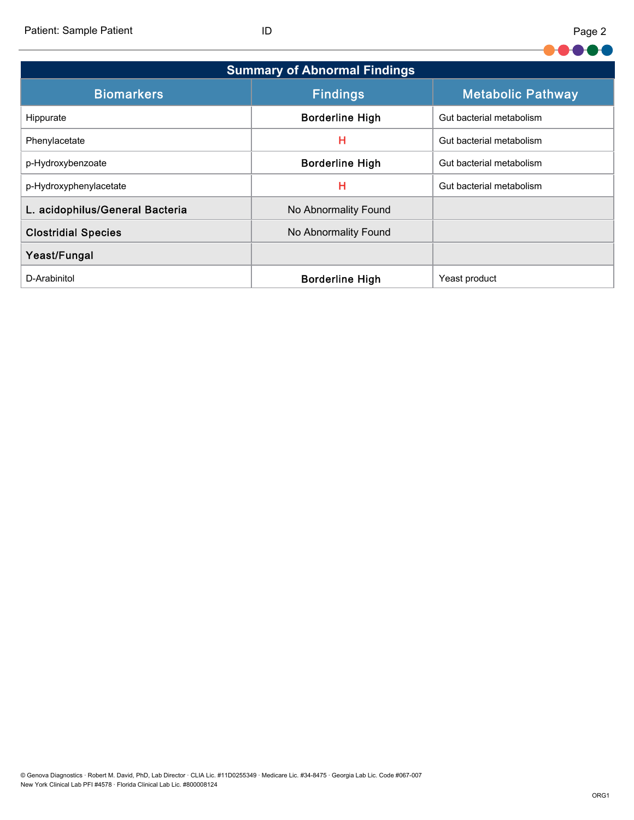Patient: Sample Patient ID

| <b>Summary of Abnormal Findings</b> |                        |                          |  |  |  |  |  |
|-------------------------------------|------------------------|--------------------------|--|--|--|--|--|
| <b>Biomarkers</b>                   | <b>Findings</b>        | <b>Metabolic Pathway</b> |  |  |  |  |  |
| Hippurate                           | <b>Borderline High</b> | Gut bacterial metabolism |  |  |  |  |  |
| Phenylacetate                       | н                      | Gut bacterial metabolism |  |  |  |  |  |
| p-Hydroxybenzoate                   | <b>Borderline High</b> | Gut bacterial metabolism |  |  |  |  |  |
| p-Hydroxyphenylacetate              | Н                      | Gut bacterial metabolism |  |  |  |  |  |
| L. acidophilus/General Bacteria     | No Abnormality Found   |                          |  |  |  |  |  |
| <b>Clostridial Species</b>          | No Abnormality Found   |                          |  |  |  |  |  |
| Yeast/Fungal                        |                        |                          |  |  |  |  |  |
| D-Arabinitol                        | <b>Borderline High</b> | Yeast product            |  |  |  |  |  |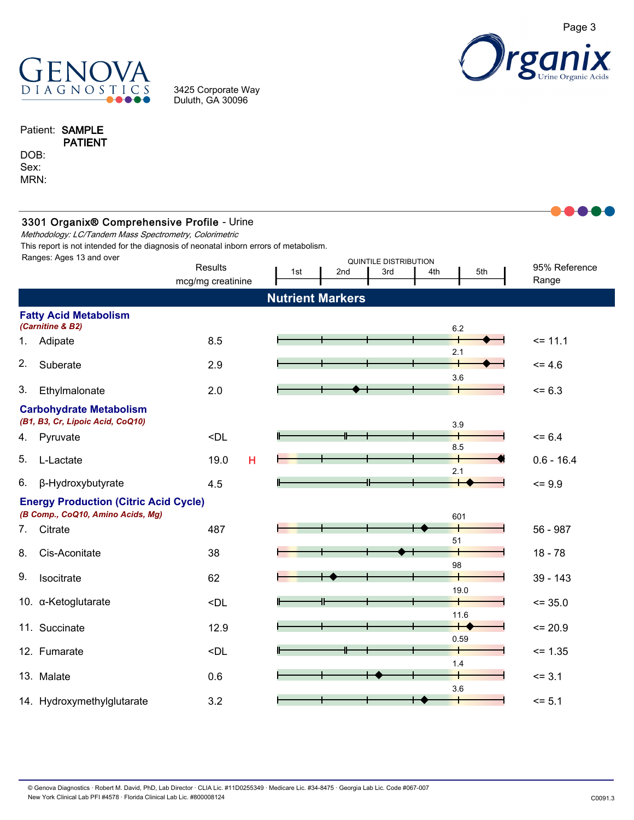

3425 Corporate Way Duluth, GA 30096



### Patient: SAMPLE PATIENT

DOB: Sex: MRN:

|    | 3301 Organix® Comprehensive Profile - Urine<br>Methodology: LC/Tandem Mass Spectrometry, Colorimetric<br>This report is not intended for the diagnosis of neonatal inborn errors of metabolism. |                                                                                       |     |                         |                                     |                                          |                        |
|----|-------------------------------------------------------------------------------------------------------------------------------------------------------------------------------------------------|---------------------------------------------------------------------------------------|-----|-------------------------|-------------------------------------|------------------------------------------|------------------------|
|    | Ranges: Ages 13 and over                                                                                                                                                                        | <b>Results</b><br>mcg/mg creatinine                                                   | 1st | 2nd                     | <b>QUINTILE DISTRIBUTION</b><br>3rd | 4th<br>5th                               | 95% Reference<br>Range |
|    |                                                                                                                                                                                                 |                                                                                       |     | <b>Nutrient Markers</b> |                                     |                                          |                        |
|    | <b>Fatty Acid Metabolism</b><br>(Carnitine & B2)                                                                                                                                                |                                                                                       |     |                         |                                     | 6.2                                      |                        |
| 1. | Adipate                                                                                                                                                                                         | 8.5                                                                                   |     |                         |                                     |                                          | $= 11.1$               |
| 2. | Suberate                                                                                                                                                                                        | 2.9                                                                                   |     |                         |                                     | 2.1<br>3.6                               | $= 4.6$                |
| 3. | Ethylmalonate                                                                                                                                                                                   | 2.0                                                                                   |     |                         |                                     |                                          | $= 6.3$                |
|    | <b>Carbohydrate Metabolism</b><br>(B1, B3, Cr, Lipoic Acid, CoQ10)                                                                                                                              |                                                                                       |     |                         |                                     | 3.9                                      |                        |
| 4. | Pyruvate                                                                                                                                                                                        | <dl< td=""><td></td><td></td><td></td><td></td><td><math>= 6.4</math></td></dl<>      |     |                         |                                     |                                          | $= 6.4$                |
| 5. | L-Lactate                                                                                                                                                                                       | 19.0<br>H                                                                             |     |                         |                                     | 8.5<br>2.1                               | $0.6 - 16.4$           |
| 6. | β-Hydroxybutyrate                                                                                                                                                                               | 4.5                                                                                   | ╫   |                         |                                     |                                          | $= 9.9$                |
|    | <b>Energy Production (Citric Acid Cycle)</b><br>(B Comp., CoQ10, Amino Acids, Mg)                                                                                                               |                                                                                       |     |                         |                                     | 601                                      |                        |
| 7. | Citrate                                                                                                                                                                                         | 487                                                                                   |     |                         |                                     |                                          | 56 - 987               |
| 8. | Cis-Aconitate                                                                                                                                                                                   | 38                                                                                    |     |                         |                                     | 51<br>98                                 | $18 - 78$              |
| 9. | Isocitrate                                                                                                                                                                                      | 62                                                                                    |     |                         |                                     |                                          | 39 - 143               |
|    | 10. $\alpha$ -Ketoglutarate                                                                                                                                                                     | <dl< td=""><td></td><td></td><td></td><td>19.0</td><td><math>= 35.0</math></td></dl<> |     |                         |                                     | 19.0                                     | $= 35.0$               |
|    | 11. Succinate                                                                                                                                                                                   | 12.9                                                                                  |     |                         |                                     | 11.6<br>$\overline{\phantom{0}}$<br>0.59 | $= 20.9$               |
|    | 12. Fumarate                                                                                                                                                                                    | <dl< td=""><td></td><td></td><td></td><td>1.4</td><td><math>= 1.35</math></td></dl<>  |     |                         |                                     | 1.4                                      | $= 1.35$               |
|    | 13. Malate                                                                                                                                                                                      | 0.6                                                                                   |     |                         |                                     | 3.6                                      | $= 3.1$                |
|    | 14. Hydroxymethylglutarate                                                                                                                                                                      | 3.2                                                                                   |     |                         |                                     |                                          | $= 5.1$                |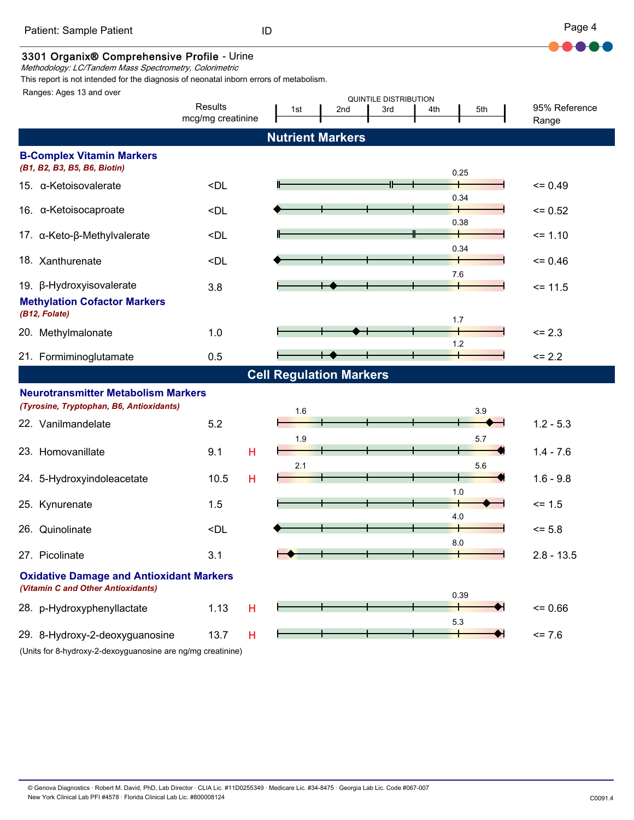

### 3301 Organix® Comprehensive Profile - Urine

Methodology: LC/Tandem Mass Spectrometry, Colorimetric

This report is not intended for the diagnosis of neonatal inborn errors of metabolism.

Ranges: Ages 13 and over

| nanyos. Ayos to anu ovor                                                              |                                                                                                | <b>QUINTILE DISTRIBUTION</b>   |                         |     |     |       |                        |
|---------------------------------------------------------------------------------------|------------------------------------------------------------------------------------------------|--------------------------------|-------------------------|-----|-----|-------|------------------------|
|                                                                                       | Results<br>mcg/mg creatinine                                                                   | 1st                            | 2nd                     | 3rd | 4th | 5th   | 95% Reference<br>Range |
|                                                                                       |                                                                                                |                                |                         |     |     |       |                        |
|                                                                                       |                                                                                                |                                | <b>Nutrient Markers</b> |     |     |       |                        |
| <b>B-Complex Vitamin Markers</b><br>(B1, B2, B3, B5, B6, Biotin)                      |                                                                                                |                                |                         |     |     |       |                        |
|                                                                                       |                                                                                                |                                |                         |     |     | 0.25  |                        |
| 15. $\alpha$ -Ketoisovalerate                                                         | $\n  $                                                                                         |                                |                         |     |     | 0.34  | $= 0.49$               |
| 16. α-Ketoisocaproate                                                                 | $\n  $                                                                                         |                                |                         |     |     |       | $= 0.52$               |
| 17. α-Keto-β-Methylvalerate                                                           | <dl< td=""><td></td><td></td><td></td><td></td><td>0.38</td><td><math>= 1.10</math></td></dl<> |                                |                         |     |     | 0.38  | $= 1.10$               |
| 18. Xanthurenate                                                                      | <dl< td=""><td></td><td></td><td></td><td></td><td>0.34</td><td><math>= 0.46</math></td></dl<> |                                |                         |     |     | 0.34  | $= 0.46$               |
| 19. β-Hydroxyisovalerate                                                              | 3.8                                                                                            |                                |                         |     |     | $7.6$ | $= 11.5$               |
| <b>Methylation Cofactor Markers</b><br>(B12, Folate)                                  |                                                                                                |                                |                         |     |     | 1.7   |                        |
| 20. Methylmalonate                                                                    | 1.0                                                                                            |                                |                         |     |     |       | $= 2.3$                |
| 21. Formiminoglutamate                                                                | 0.5                                                                                            |                                |                         |     |     | 1.2   | $\le$ 2.2              |
|                                                                                       |                                                                                                | <b>Cell Regulation Markers</b> |                         |     |     |       |                        |
| <b>Neurotransmitter Metabolism Markers</b>                                            |                                                                                                |                                |                         |     |     |       |                        |
| (Tyrosine, Tryptophan, B6, Antioxidants)                                              |                                                                                                | 1.6                            |                         |     |     | 3.9   |                        |
| 22. Vanilmandelate                                                                    | 5.2                                                                                            |                                |                         |     |     |       | $1.2 - 5.3$            |
|                                                                                       |                                                                                                | 1.9                            |                         |     |     | 5.7   |                        |
| 23. Homovanillate                                                                     | 9.1<br>н                                                                                       |                                |                         |     |     |       | $1.4 - 7.6$            |
| 24. 5-Hydroxyindoleacetate                                                            | н<br>10.5                                                                                      | 2.1                            |                         |     |     | 5.6   | $1.6 - 9.8$            |
| 25. Kynurenate                                                                        | 1.5                                                                                            |                                |                         |     |     | 1.0   | $= 1.5$                |
|                                                                                       |                                                                                                |                                |                         |     |     | 4.0   |                        |
| 26. Quinolinate                                                                       | <dl< td=""><td></td><td></td><td></td><td></td><td>8.0</td><td><math>= 5.8</math></td></dl<>   |                                |                         |     |     | 8.0   | $= 5.8$                |
| 27. Picolinate                                                                        | 3.1                                                                                            |                                |                         |     |     |       | $2.8 - 13.5$           |
| <b>Oxidative Damage and Antioxidant Markers</b><br>(Vitamin C and Other Antioxidants) |                                                                                                |                                |                         |     |     | 0.39  |                        |
| 28. p-Hydroxyphenyllactate                                                            | 1.13<br>н                                                                                      |                                |                         |     |     |       | $= 0.66$               |
|                                                                                       |                                                                                                |                                |                         |     |     | 5.3   |                        |
| 29. 8-Hydroxy-2-deoxyguanosine                                                        | 13.7<br>н                                                                                      |                                |                         |     |     |       | $= 7.6$                |
| (Units for 8-hydroxy-2-dexoyguanosine are ng/mg creatinine)                           |                                                                                                |                                |                         |     |     |       |                        |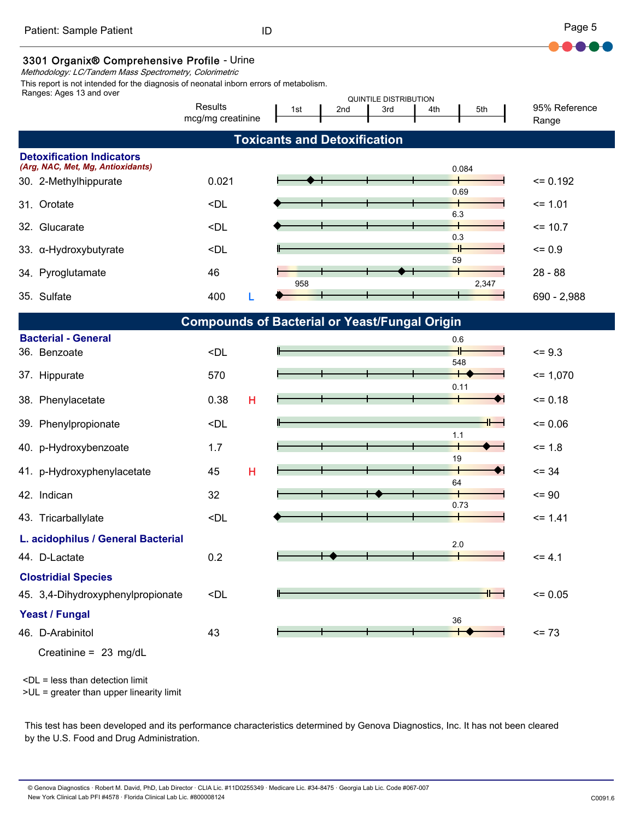### 3301 Organix® Comprehensive Profile - Urine

Methodology: LC/Tandem Mass Spectrometry, Colorimetric

This report is not intended for the diagnosis of neonatal inborn errors of metabolism.

| Ranges: Ages 13 and over                                   |                                                                                                                            |   |                                     |     |     | <b>QUINTILE DISTRIBUTION</b> |       |    |                        |  |
|------------------------------------------------------------|----------------------------------------------------------------------------------------------------------------------------|---|-------------------------------------|-----|-----|------------------------------|-------|----|------------------------|--|
|                                                            | Results<br>mcg/mg creatinine                                                                                               |   | 1st                                 | 2nd | 3rd | 4th                          | 5th   |    | 95% Reference<br>Range |  |
|                                                            |                                                                                                                            |   | <b>Toxicants and Detoxification</b> |     |     |                              |       |    |                        |  |
| <b>Detoxification Indicators</b>                           |                                                                                                                            |   |                                     |     |     |                              |       |    |                        |  |
| (Arg, NAC, Met, Mg, Antioxidants)<br>30. 2-Methylhippurate | 0.021                                                                                                                      |   |                                     |     |     |                              | 0.084 |    | $= 0.192$              |  |
|                                                            |                                                                                                                            |   |                                     |     |     |                              | 0.69  |    |                        |  |
| Orotate<br>31.                                             | <dl< td=""><td></td><td></td><td></td><td></td><td></td><td>6.3</td><td></td><td><math>= 1.01</math></td><td></td></dl<>   |   |                                     |     |     |                              | 6.3   |    | $= 1.01$               |  |
| Glucarate<br>32.                                           | <dl< td=""><td></td><td></td><td></td><td></td><td></td><td></td><td></td><td><math>= 10.7</math></td><td></td></dl<>      |   |                                     |     |     |                              |       |    | $= 10.7$               |  |
| 33. a-Hydroxybutyrate                                      | <dl< td=""><td></td><td></td><td></td><td></td><td></td><td>0.3</td><td></td><td><math>= 0.9</math></td><td></td></dl<>    |   |                                     |     |     |                              | 0.3   |    | $= 0.9$                |  |
|                                                            | 46                                                                                                                         |   |                                     |     |     |                              | 59    |    | $28 - 88$              |  |
| Pyroglutamate<br>34.                                       |                                                                                                                            |   | 958                                 |     |     |                              | 2,347 |    |                        |  |
| 35. Sulfate                                                | 400                                                                                                                        |   |                                     |     |     |                              |       |    | 690 - 2,988            |  |
|                                                            | <b>Compounds of Bacterial or Yeast/Fungal Origin</b>                                                                       |   |                                     |     |     |                              |       |    |                        |  |
| <b>Bacterial - General</b>                                 |                                                                                                                            |   |                                     |     |     |                              | 0.6   |    |                        |  |
| 36. Benzoate                                               | <dl< td=""><td></td><td></td><td></td><td></td><td></td><td>548</td><td></td><td><math>= 9.3</math></td><td></td></dl<>    |   |                                     |     |     |                              | 548   |    | $= 9.3$                |  |
| 37. Hippurate                                              | 570                                                                                                                        |   |                                     |     |     |                              |       |    | $= 1,070$              |  |
| Phenylacetate<br>38.                                       | 0.38                                                                                                                       | н |                                     |     |     |                              | 0.11  |    | $= 0.18$               |  |
|                                                            |                                                                                                                            |   |                                     |     |     |                              |       |    |                        |  |
| 39. Phenylpropionate                                       | <dl< td=""><td></td><td></td><td></td><td></td><td></td><td>1.1</td><td>+⊢</td><td><math>= 0.06</math></td><td></td></dl<> |   |                                     |     |     |                              | 1.1   | +⊢ | $= 0.06$               |  |
| 40. p-Hydroxybenzoate                                      | 1.7                                                                                                                        |   |                                     |     |     |                              |       |    | $= 1.8$                |  |
| p-Hydroxyphenylacetate<br>41.                              | 45                                                                                                                         | н |                                     |     |     |                              | 19    |    | $= 34$                 |  |
|                                                            |                                                                                                                            |   |                                     |     |     |                              | 64    |    |                        |  |
| 42. Indican                                                | 32                                                                                                                         |   |                                     |     |     |                              | 0.73  |    | $= 90$                 |  |
| 43. Tricarballylate                                        | <dl< td=""><td></td><td></td><td></td><td></td><td></td><td></td><td></td><td><math>= 1.41</math></td><td></td></dl<>      |   |                                     |     |     |                              |       |    | $= 1.41$               |  |
| L. acidophilus / General Bacterial                         |                                                                                                                            |   |                                     |     |     |                              | 2.0   |    |                        |  |
| 44. D-Lactate                                              | 0.2                                                                                                                        |   |                                     |     |     |                              |       |    | $= 4.1$                |  |
| <b>Clostridial Species</b>                                 |                                                                                                                            |   |                                     |     |     |                              |       |    |                        |  |
| 45. 3,4-Dihydroxyphenylpropionate                          | <dl< td=""><td></td><td>⊩</td><td></td><td></td><td></td><td></td><td></td><td><math>= 0.05</math></td><td></td></dl<>     |   | ⊩                                   |     |     |                              |       |    | $= 0.05$               |  |
| Yeast / Fungal                                             |                                                                                                                            |   |                                     |     |     |                              |       |    |                        |  |
| 46. D-Arabinitol                                           | 43                                                                                                                         |   |                                     |     |     |                              | 36    |    | $= 73$                 |  |
| Creatinine = $23 \text{ mg/dL}$                            |                                                                                                                            |   |                                     |     |     |                              |       |    |                        |  |

<DL = less than detection limit

>UL = greater than upper linearity limit

This test has been developed and its performance characteristics determined by Genova Diagnostics, Inc. It has not been cleared by the U.S. Food and Drug Administration.